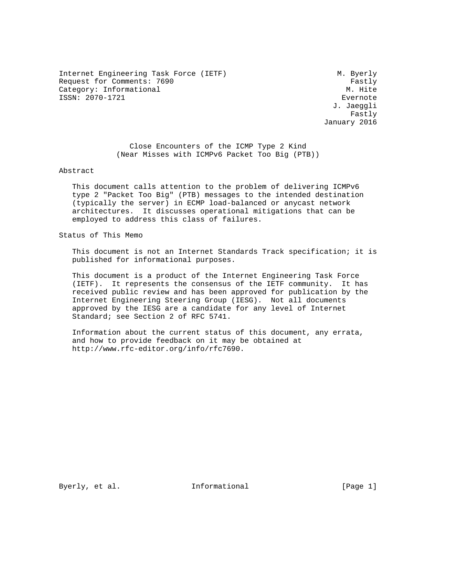Internet Engineering Task Force (IETF) M. Byerly Request for Comments: 7690<br>Category: Informational example: The Category: Informational Category: Informational ISSN: 2070-1721 Evernote

 J. Jaeggli . The contract of the contract of the contract of the contract of the  $\mathtt{Fastly}$ January 2016

> Close Encounters of the ICMP Type 2 Kind (Near Misses with ICMPv6 Packet Too Big (PTB))

Abstract

 This document calls attention to the problem of delivering ICMPv6 type 2 "Packet Too Big" (PTB) messages to the intended destination (typically the server) in ECMP load-balanced or anycast network architectures. It discusses operational mitigations that can be employed to address this class of failures.

Status of This Memo

 This document is not an Internet Standards Track specification; it is published for informational purposes.

 This document is a product of the Internet Engineering Task Force (IETF). It represents the consensus of the IETF community. It has received public review and has been approved for publication by the Internet Engineering Steering Group (IESG). Not all documents approved by the IESG are a candidate for any level of Internet Standard; see Section 2 of RFC 5741.

 Information about the current status of this document, any errata, and how to provide feedback on it may be obtained at http://www.rfc-editor.org/info/rfc7690.

Byerly, et al. 1nformational [Page 1]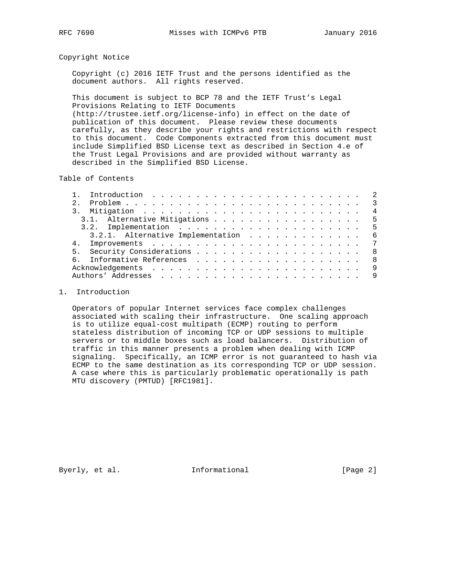#### Copyright Notice

 Copyright (c) 2016 IETF Trust and the persons identified as the document authors. All rights reserved.

 This document is subject to BCP 78 and the IETF Trust's Legal Provisions Relating to IETF Documents (http://trustee.ietf.org/license-info) in effect on the date of publication of this document. Please review these documents carefully, as they describe your rights and restrictions with respect to this document. Code Components extracted from this document must include Simplified BSD License text as described in Section 4.e of the Trust Legal Provisions and are provided without warranty as described in the Simplified BSD License.

Table of Contents

| 2.             |                                   |  |  |  |  |                |
|----------------|-----------------------------------|--|--|--|--|----------------|
|                |                                   |  |  |  |  | $\overline{4}$ |
|                | 3.1. Alternative Mitigations 5    |  |  |  |  |                |
|                |                                   |  |  |  |  |                |
|                | 3.2.1. Alternative Implementation |  |  |  |  | - 6            |
| 4 <sub>1</sub> |                                   |  |  |  |  |                |
|                |                                   |  |  |  |  | - 8            |
| რ —            |                                   |  |  |  |  | - 8            |
|                |                                   |  |  |  |  | - 9            |
|                |                                   |  |  |  |  | - 9            |
|                |                                   |  |  |  |  |                |

### 1. Introduction

 Operators of popular Internet services face complex challenges associated with scaling their infrastructure. One scaling approach is to utilize equal-cost multipath (ECMP) routing to perform stateless distribution of incoming TCP or UDP sessions to multiple servers or to middle boxes such as load balancers. Distribution of traffic in this manner presents a problem when dealing with ICMP signaling. Specifically, an ICMP error is not guaranteed to hash via ECMP to the same destination as its corresponding TCP or UDP session. A case where this is particularly problematic operationally is path MTU discovery (PMTUD) [RFC1981].

Byerly, et al. 1nformational [Page 2]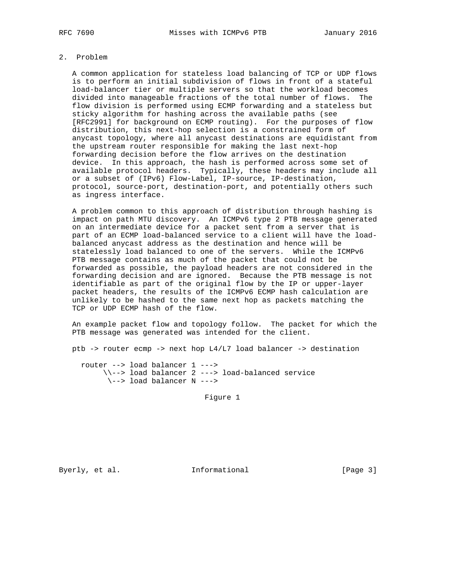# 2. Problem

 A common application for stateless load balancing of TCP or UDP flows is to perform an initial subdivision of flows in front of a stateful load-balancer tier or multiple servers so that the workload becomes divided into manageable fractions of the total number of flows. The flow division is performed using ECMP forwarding and a stateless but sticky algorithm for hashing across the available paths (see [RFC2991] for background on ECMP routing). For the purposes of flow distribution, this next-hop selection is a constrained form of anycast topology, where all anycast destinations are equidistant from the upstream router responsible for making the last next-hop forwarding decision before the flow arrives on the destination device. In this approach, the hash is performed across some set of available protocol headers. Typically, these headers may include all or a subset of (IPv6) Flow-Label, IP-source, IP-destination, protocol, source-port, destination-port, and potentially others such as ingress interface.

 A problem common to this approach of distribution through hashing is impact on path MTU discovery. An ICMPv6 type 2 PTB message generated on an intermediate device for a packet sent from a server that is part of an ECMP load-balanced service to a client will have the load balanced anycast address as the destination and hence will be statelessly load balanced to one of the servers. While the ICMPv6 PTB message contains as much of the packet that could not be forwarded as possible, the payload headers are not considered in the forwarding decision and are ignored. Because the PTB message is not identifiable as part of the original flow by the IP or upper-layer packet headers, the results of the ICMPv6 ECMP hash calculation are unlikely to be hashed to the same next hop as packets matching the TCP or UDP ECMP hash of the flow.

 An example packet flow and topology follow. The packet for which the PTB message was generated was intended for the client.

ptb -> router ecmp -> next hop L4/L7 load balancer -> destination

 router --> load balancer 1 ---> \\--> load balancer 2 ---> load-balanced service \--> load balancer N --->

Figure 1

Byerly, et al. 1nformational [Page 3]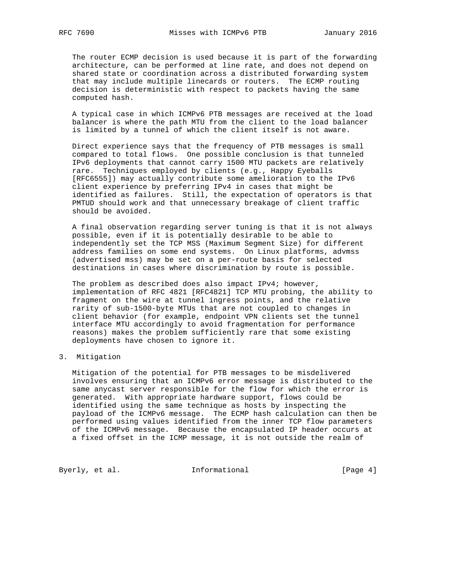The router ECMP decision is used because it is part of the forwarding architecture, can be performed at line rate, and does not depend on shared state or coordination across a distributed forwarding system that may include multiple linecards or routers. The ECMP routing decision is deterministic with respect to packets having the same computed hash.

 A typical case in which ICMPv6 PTB messages are received at the load balancer is where the path MTU from the client to the load balancer is limited by a tunnel of which the client itself is not aware.

 Direct experience says that the frequency of PTB messages is small compared to total flows. One possible conclusion is that tunneled IPv6 deployments that cannot carry 1500 MTU packets are relatively rare. Techniques employed by clients (e.g., Happy Eyeballs [RFC6555]) may actually contribute some amelioration to the IPv6 client experience by preferring IPv4 in cases that might be identified as failures. Still, the expectation of operators is that PMTUD should work and that unnecessary breakage of client traffic should be avoided.

 A final observation regarding server tuning is that it is not always possible, even if it is potentially desirable to be able to independently set the TCP MSS (Maximum Segment Size) for different address families on some end systems. On Linux platforms, advmss (advertised mss) may be set on a per-route basis for selected destinations in cases where discrimination by route is possible.

 The problem as described does also impact IPv4; however, implementation of RFC 4821 [RFC4821] TCP MTU probing, the ability to fragment on the wire at tunnel ingress points, and the relative rarity of sub-1500-byte MTUs that are not coupled to changes in client behavior (for example, endpoint VPN clients set the tunnel interface MTU accordingly to avoid fragmentation for performance reasons) makes the problem sufficiently rare that some existing deployments have chosen to ignore it.

#### 3. Mitigation

 Mitigation of the potential for PTB messages to be misdelivered involves ensuring that an ICMPv6 error message is distributed to the same anycast server responsible for the flow for which the error is generated. With appropriate hardware support, flows could be identified using the same technique as hosts by inspecting the payload of the ICMPv6 message. The ECMP hash calculation can then be performed using values identified from the inner TCP flow parameters of the ICMPv6 message. Because the encapsulated IP header occurs at a fixed offset in the ICMP message, it is not outside the realm of

Byerly, et al. 1nformational [Page 4]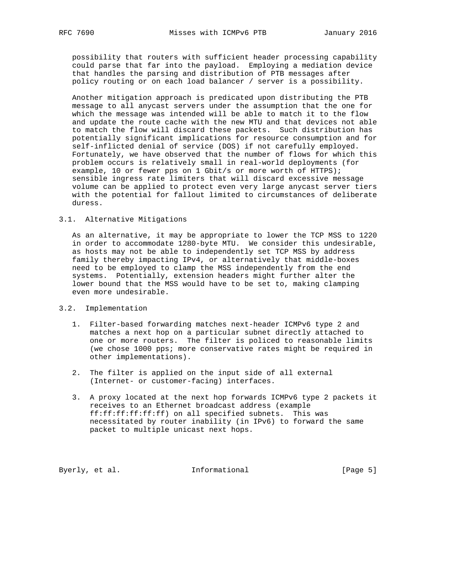possibility that routers with sufficient header processing capability could parse that far into the payload. Employing a mediation device that handles the parsing and distribution of PTB messages after policy routing or on each load balancer / server is a possibility.

 Another mitigation approach is predicated upon distributing the PTB message to all anycast servers under the assumption that the one for which the message was intended will be able to match it to the flow and update the route cache with the new MTU and that devices not able to match the flow will discard these packets. Such distribution has potentially significant implications for resource consumption and for self-inflicted denial of service (DOS) if not carefully employed. Fortunately, we have observed that the number of flows for which this problem occurs is relatively small in real-world deployments (for example, 10 or fewer pps on 1 Gbit/s or more worth of HTTPS); sensible ingress rate limiters that will discard excessive message volume can be applied to protect even very large anycast server tiers with the potential for fallout limited to circumstances of deliberate duress.

#### 3.1. Alternative Mitigations

 As an alternative, it may be appropriate to lower the TCP MSS to 1220 in order to accommodate 1280-byte MTU. We consider this undesirable, as hosts may not be able to independently set TCP MSS by address family thereby impacting IPv4, or alternatively that middle-boxes need to be employed to clamp the MSS independently from the end systems. Potentially, extension headers might further alter the lower bound that the MSS would have to be set to, making clamping even more undesirable.

- 3.2. Implementation
	- 1. Filter-based forwarding matches next-header ICMPv6 type 2 and matches a next hop on a particular subnet directly attached to one or more routers. The filter is policed to reasonable limits (we chose 1000 pps; more conservative rates might be required in other implementations).
	- 2. The filter is applied on the input side of all external (Internet- or customer-facing) interfaces.
	- 3. A proxy located at the next hop forwards ICMPv6 type 2 packets it receives to an Ethernet broadcast address (example ff:ff:ff:ff:ff:ff) on all specified subnets. This was necessitated by router inability (in IPv6) to forward the same packet to multiple unicast next hops.

Byerly, et al. 1nformational [Page 5]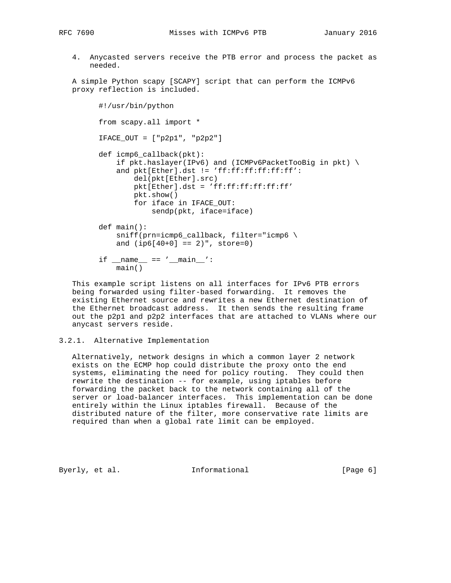4. Anycasted servers receive the PTB error and process the packet as needed.

 A simple Python scapy [SCAPY] script that can perform the ICMPv6 proxy reflection is included.

```
 #!/usr/bin/python
 from scapy.all import *
 IFACE_OUT = ["p2p1", "p2p2"]
 def icmp6_callback(pkt):
     if pkt.haslayer(IPv6) and (ICMPv6PacketTooBig in pkt) \
    and pkt[Ether].dst != 'ff:ff:ff:ff:ff:ff':
         del(pkt[Ether].src)
         pkt[Ether].dst = 'ff:ff:ff:ff:ff:ff'
         pkt.show()
         for iface in IFACE_OUT:
             sendp(pkt, iface=iface)
 def main():
    sniff(prn=icmp6_callback, filter="icmp6 \
    and (ip6[40+0] == 2)", store=0)
if __name__ == '__main__':
     main()
```
 This example script listens on all interfaces for IPv6 PTB errors being forwarded using filter-based forwarding. It removes the existing Ethernet source and rewrites a new Ethernet destination of the Ethernet broadcast address. It then sends the resulting frame out the p2p1 and p2p2 interfaces that are attached to VLANs where our anycast servers reside.

```
3.2.1. Alternative Implementation
```
 Alternatively, network designs in which a common layer 2 network exists on the ECMP hop could distribute the proxy onto the end systems, eliminating the need for policy routing. They could then rewrite the destination -- for example, using iptables before forwarding the packet back to the network containing all of the server or load-balancer interfaces. This implementation can be done entirely within the Linux iptables firewall. Because of the distributed nature of the filter, more conservative rate limits are required than when a global rate limit can be employed.

Byerly, et al.  $\qquad \qquad$  Informational [Page 6]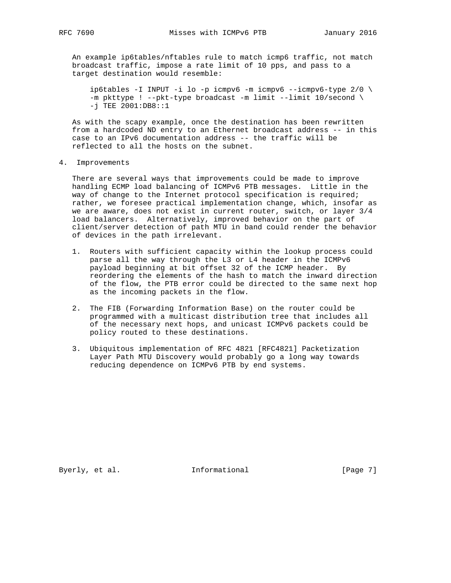An example ip6tables/nftables rule to match icmp6 traffic, not match broadcast traffic, impose a rate limit of 10 pps, and pass to a target destination would resemble:

ip6tables -I INPUT -i lo -p icmpv6 -m icmpv6 --icmpv6-type  $2/0$  \ -m pkttype ! --pkt-type broadcast -m limit --limit 10/second \ -j TEE 2001:DB8::1

 As with the scapy example, once the destination has been rewritten from a hardcoded ND entry to an Ethernet broadcast address -- in this case to an IPv6 documentation address -- the traffic will be reflected to all the hosts on the subnet.

4. Improvements

 There are several ways that improvements could be made to improve handling ECMP load balancing of ICMPv6 PTB messages. Little in the way of change to the Internet protocol specification is required; rather, we foresee practical implementation change, which, insofar as we are aware, does not exist in current router, switch, or layer 3/4 load balancers. Alternatively, improved behavior on the part of client/server detection of path MTU in band could render the behavior of devices in the path irrelevant.

- 1. Routers with sufficient capacity within the lookup process could parse all the way through the L3 or L4 header in the ICMPv6 payload beginning at bit offset 32 of the ICMP header. By reordering the elements of the hash to match the inward direction of the flow, the PTB error could be directed to the same next hop as the incoming packets in the flow.
- 2. The FIB (Forwarding Information Base) on the router could be programmed with a multicast distribution tree that includes all of the necessary next hops, and unicast ICMPv6 packets could be policy routed to these destinations.
- 3. Ubiquitous implementation of RFC 4821 [RFC4821] Packetization Layer Path MTU Discovery would probably go a long way towards reducing dependence on ICMPv6 PTB by end systems.

Byerly, et al. 1nformational [Page 7]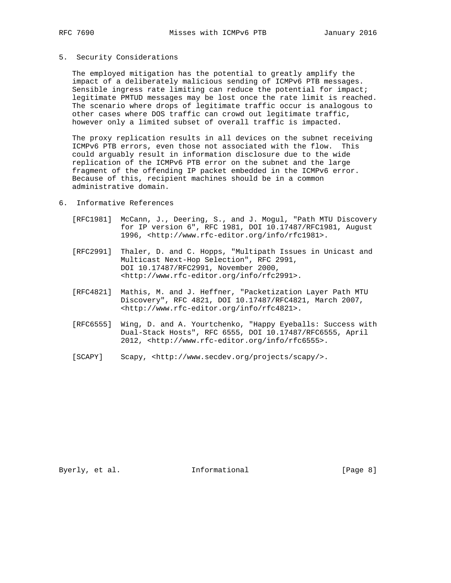#### 5. Security Considerations

 The employed mitigation has the potential to greatly amplify the impact of a deliberately malicious sending of ICMPv6 PTB messages. Sensible ingress rate limiting can reduce the potential for impact; legitimate PMTUD messages may be lost once the rate limit is reached. The scenario where drops of legitimate traffic occur is analogous to other cases where DOS traffic can crowd out legitimate traffic, however only a limited subset of overall traffic is impacted.

 The proxy replication results in all devices on the subnet receiving ICMPv6 PTB errors, even those not associated with the flow. This could arguably result in information disclosure due to the wide replication of the ICMPv6 PTB error on the subnet and the large fragment of the offending IP packet embedded in the ICMPv6 error. Because of this, recipient machines should be in a common administrative domain.

- 6. Informative References
	- [RFC1981] McCann, J., Deering, S., and J. Mogul, "Path MTU Discovery for IP version 6", RFC 1981, DOI 10.17487/RFC1981, August 1996, <http://www.rfc-editor.org/info/rfc1981>.
	- [RFC2991] Thaler, D. and C. Hopps, "Multipath Issues in Unicast and Multicast Next-Hop Selection", RFC 2991, DOI 10.17487/RFC2991, November 2000, <http://www.rfc-editor.org/info/rfc2991>.
	- [RFC4821] Mathis, M. and J. Heffner, "Packetization Layer Path MTU Discovery", RFC 4821, DOI 10.17487/RFC4821, March 2007, <http://www.rfc-editor.org/info/rfc4821>.
	- [RFC6555] Wing, D. and A. Yourtchenko, "Happy Eyeballs: Success with Dual-Stack Hosts", RFC 6555, DOI 10.17487/RFC6555, April 2012, <http://www.rfc-editor.org/info/rfc6555>.
	- [SCAPY] Scapy, <http://www.secdev.org/projects/scapy/>.

Byerly, et al. 1nformational [Page 8]